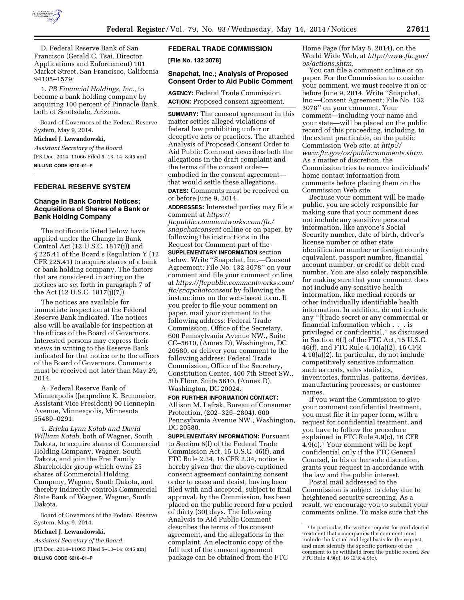

D. Federal Reserve Bank of San Francisco (Gerald C. Tsai, Director, Applications and Enforcement) 101 Market Street, San Francisco, California 94105–1579:

1. *PB Financial Holdings, Inc.,* to become a bank holding company by acquiring 100 percent of Pinnacle Bank, both of Scottsdale, Arizona.

Board of Governors of the Federal Reserve System, May 9, 2014.

**Michael J. Lewandowski,** 

*Assistant Secretary of the Board.*  [FR Doc. 2014–11066 Filed 5–13–14; 8:45 am] **BILLING CODE 6210–01–P** 

# **FEDERAL RESERVE SYSTEM**

### **Change in Bank Control Notices; Acquisitions of Shares of a Bank or Bank Holding Company**

The notificants listed below have applied under the Change in Bank Control Act (12 U.S.C. 1817(j)) and § 225.41 of the Board's Regulation Y (12 CFR 225.41) to acquire shares of a bank or bank holding company. The factors that are considered in acting on the notices are set forth in paragraph 7 of the Act (12 U.S.C. 1817(j)(7)).

The notices are available for immediate inspection at the Federal Reserve Bank indicated. The notices also will be available for inspection at the offices of the Board of Governors. Interested persons may express their views in writing to the Reserve Bank indicated for that notice or to the offices of the Board of Governors. Comments must be received not later than May 29, 2014.

A. Federal Reserve Bank of Minneapolis (Jacqueline K. Brunmeier, Assistant Vice President) 90 Hennepin Avenue, Minneapolis, Minnesota 55480–0291:

1. *Ericka Lynn Kotab and David William Kotab,* both of Wagner, South Dakota, to acquire shares of Commercial Holding Company, Wagner, South Dakota, and join the Frei Family Shareholder group which owns 25 shares of Commercial Holding Company, Wagner, South Dakota, and thereby indirectly controls Commercial State Bank of Wagner, Wagner, South Dakota.

Board of Governors of the Federal Reserve System, May 9, 2014.

#### **Michael J. Lewandowski,**

*Assistant Secretary of the Board.*  [FR Doc. 2014–11065 Filed 5–13–14; 8:45 am] **BILLING CODE 6210–01–P** 

## **FEDERAL TRADE COMMISSION**

**[File No. 132 3078]** 

### **Snapchat, Inc.; Analysis of Proposed Consent Order to Aid Public Comment**

**AGENCY:** Federal Trade Commission. **ACTION:** Proposed consent agreement.

**SUMMARY:** The consent agreement in this matter settles alleged violations of federal law prohibiting unfair or deceptive acts or practices. The attached Analysis of Proposed Consent Order to Aid Public Comment describes both the allegations in the draft complaint and the terms of the consent order embodied in the consent agreement that would settle these allegations. **DATES:** Comments must be received on or before June 9, 2014.

**ADDRESSES:** Interested parties may file a comment at *[https://](https://ftcpublic.commentworks.com/ftc/snapchatconsent) [ftcpublic.commentworks.com/ftc/](https://ftcpublic.commentworks.com/ftc/snapchatconsent) [snapchatconsent](https://ftcpublic.commentworks.com/ftc/snapchatconsent)* online or on paper, by following the instructions in the Request for Comment part of the **SUPPLEMENTARY INFORMATION** section below. Write ''Snapchat, Inc.—Consent Agreement; File No. 132 3078'' on your comment and file your comment online at *[https://ftcpublic.commentworks.com/](https://ftcpublic.commentworks.com/ftc/snapchatconsent) [ftc/snapchatconsent](https://ftcpublic.commentworks.com/ftc/snapchatconsent)* by following the instructions on the web-based form. If you prefer to file your comment on paper, mail your comment to the following address: Federal Trade Commission, Office of the Secretary, 600 Pennsylvania Avenue NW., Suite CC–5610, (Annex D), Washington, DC 20580, or deliver your comment to the following address: Federal Trade Commission, Office of the Secretary, Constitution Center, 400 7th Street SW., 5th Floor, Suite 5610, (Annex D), Washington, DC 20024.

#### **FOR FURTHER INFORMATION CONTACT:**  Allison M. Lefrak, Bureau of Consumer Protection, (202–326–2804), 600 Pennsylvania Avenue NW., Washington, DC 20580.

**SUPPLEMENTARY INFORMATION: Pursuant** to Section 6(f) of the Federal Trade Commission Act, 15 U.S.C. 46(f), and FTC Rule 2.34, 16 CFR 2.34, notice is hereby given that the above-captioned consent agreement containing consent order to cease and desist, having been filed with and accepted, subject to final approval, by the Commission, has been placed on the public record for a period of thirty (30) days. The following Analysis to Aid Public Comment describes the terms of the consent agreement, and the allegations in the complaint. An electronic copy of the full text of the consent agreement package can be obtained from the FTC

Home Page (for May 8, 2014), on the World Wide Web, at *[http://www.ftc.gov/](http://www.ftc.gov/os/actions.shtm)  [os/actions.shtm.](http://www.ftc.gov/os/actions.shtm)* 

You can file a comment online or on paper. For the Commission to consider your comment, we must receive it on or before June 9, 2014. Write ''Snapchat, Inc.—Consent Agreement; File No. 132 3078'' on your comment. Your comment—including your name and your state—will be placed on the public record of this proceeding, including, to the extent practicable, on the public Commission Web site, at *[http://](http://www.ftc.gov/os/publiccomments.shtm) [www.ftc.gov/os/publiccomments.shtm.](http://www.ftc.gov/os/publiccomments.shtm)*  As a matter of discretion, the Commission tries to remove individuals' home contact information from comments before placing them on the Commission Web site.

Because your comment will be made public, you are solely responsible for making sure that your comment does not include any sensitive personal information, like anyone's Social Security number, date of birth, driver's license number or other state identification number or foreign country equivalent, passport number, financial account number, or credit or debit card number. You are also solely responsible for making sure that your comment does not include any sensitive health information, like medical records or other individually identifiable health information. In addition, do not include any ''[t]rade secret or any commercial or financial information which . . . is privileged or confidential,'' as discussed in Section 6(f) of the FTC Act, 15 U.S.C. 46(f), and FTC Rule 4.10(a)(2), 16 CFR 4.10(a)(2). In particular, do not include competitively sensitive information such as costs, sales statistics, inventories, formulas, patterns, devices, manufacturing processes, or customer names.

If you want the Commission to give your comment confidential treatment, you must file it in paper form, with a request for confidential treatment, and you have to follow the procedure explained in FTC Rule 4.9(c), 16 CFR  $4.9(c)$ .<sup>1</sup> Your comment will be kept confidential only if the FTC General Counsel, in his or her sole discretion, grants your request in accordance with the law and the public interest.

Postal mail addressed to the Commission is subject to delay due to heightened security screening. As a result, we encourage you to submit your comments online. To make sure that the

<sup>&</sup>lt;sup>1</sup> In particular, the written request for confidential treatment that accompanies the comment must include the factual and legal basis for the request, and must identify the specific portions of the comment to be withheld from the public record. *See*  FTC Rule 4.9(c), 16 CFR 4.9(c).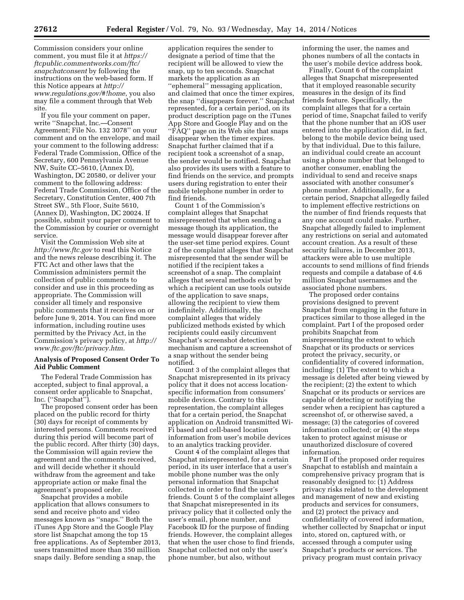Commission considers your online comment, you must file it at *[https://](https://ftcpublic.commentworks.com/ftc/snapchatconsent) [ftcpublic.commentworks.com/ftc/](https://ftcpublic.commentworks.com/ftc/snapchatconsent) [snapchatconsent](https://ftcpublic.commentworks.com/ftc/snapchatconsent)* by following the instructions on the web-based form. If this Notice appears at *[http://](http://www.regulations.gov/#!home) [www.regulations.gov/#!home](http://www.regulations.gov/#!home)*, you also may file a comment through that Web site.

If you file your comment on paper, write ''Snapchat, Inc.—Consent Agreement; File No. 132 3078'' on your comment and on the envelope, and mail your comment to the following address: Federal Trade Commission, Office of the Secretary, 600 Pennsylvania Avenue NW, Suite CC–5610, (Annex D), Washington, DC 20580, or deliver your comment to the following address: Federal Trade Commission, Office of the Secretary, Constitution Center, 400 7th Street SW., 5th Floor, Suite 5610, (Annex D), Washington, DC 20024. If possible, submit your paper comment to the Commission by courier or overnight service.

Visit the Commission Web site at *<http://www.ftc.gov>*to read this Notice and the news release describing it. The FTC Act and other laws that the Commission administers permit the collection of public comments to consider and use in this proceeding as appropriate. The Commission will consider all timely and responsive public comments that it receives on or before June 9, 2014. You can find more information, including routine uses permitted by the Privacy Act, in the Commission's privacy policy, at *[http://](http://www.ftc.gov/ftc/privacy.htm) [www.ftc.gov/ftc/privacy.htm.](http://www.ftc.gov/ftc/privacy.htm)* 

#### **Analysis of Proposed Consent Order To Aid Public Comment**

The Federal Trade Commission has accepted, subject to final approval, a consent order applicable to Snapchat, Inc. (''Snapchat'').

The proposed consent order has been placed on the public record for thirty (30) days for receipt of comments by interested persons. Comments received during this period will become part of the public record. After thirty (30) days, the Commission will again review the agreement and the comments received, and will decide whether it should withdraw from the agreement and take appropriate action or make final the agreement's proposed order.

Snapchat provides a mobile application that allows consumers to send and receive photo and video messages known as ''snaps.'' Both the iTunes App Store and the Google Play store list Snapchat among the top 15 free applications. As of September 2013, users transmitted more than 350 million snaps daily. Before sending a snap, the

application requires the sender to designate a period of time that the recipient will be allowed to view the snap, up to ten seconds. Snapchat markets the application as an ''ephemeral'' messaging application, and claimed that once the timer expires, the snap ''disappears forever.'' Snapchat represented, for a certain period, on its product description page on the iTunes App Store and Google Play and on the ''FAQ'' page on its Web site that snaps disappear when the timer expires. Snapchat further claimed that if a recipient took a screenshot of a snap, the sender would be notified. Snapchat also provides its users with a feature to find friends on the service, and prompts users during registration to enter their mobile telephone number in order to find friends.

Count 1 of the Commission's complaint alleges that Snapchat misrepresented that when sending a message though its application, the message would disappear forever after the user-set time period expires. Count 2 of the complaint alleges that Snapchat misrepresented that the sender will be notified if the recipient takes a screenshot of a snap. The complaint alleges that several methods exist by which a recipient can use tools outside of the application to save snaps, allowing the recipient to view them indefinitely. Additionally, the complaint alleges that widely publicized methods existed by which recipients could easily circumvent Snapchat's screenshot detection mechanism and capture a screenshot of a snap without the sender being notified.

Count 3 of the complaint alleges that Snapchat misrepresented in its privacy policy that it does not access locationspecific information from consumers' mobile devices. Contrary to this representation, the complaint alleges that for a certain period, the Snapchat application on Android transmitted Wi-Fi based and cell-based location information from user's mobile devices to an analytics tracking provider.

Count 4 of the complaint alleges that Snapchat misrepresented, for a certain period, in its user interface that a user's mobile phone number was the only personal information that Snapchat collected in order to find the user's friends. Count 5 of the complaint alleges that Snapchat misrepresented in its privacy policy that it collected only the user's email, phone number, and Facebook ID for the purpose of finding friends. However, the complaint alleges that when the user chose to find friends, Snapchat collected not only the user's phone number, but also, without

informing the user, the names and phones numbers of all the contacts in the user's mobile device address book.

Finally, Count 6 of the complaint alleges that Snapchat misrepresented that it employed reasonable security measures in the design of its find friends feature. Specifically, the complaint alleges that for a certain period of time, Snapchat failed to verify that the phone number that an iOS user entered into the application did, in fact, belong to the mobile device being used by that individual. Due to this failure, an individual could create an account using a phone number that belonged to another consumer, enabling the individual to send and receive snaps associated with another consumer's phone number. Additionally, for a certain period, Snapchat allegedly failed to implement effective restrictions on the number of find friends requests that any one account could make. Further, Snapchat allegedly failed to implement any restrictions on serial and automated account creation. As a result of these security failures, in December 2013, attackers were able to use multiple accounts to send millions of find friends requests and compile a database of 4.6 million Snapchat usernames and the associated phone numbers.

The proposed order contains provisions designed to prevent Snapchat from engaging in the future in practices similar to those alleged in the complaint. Part I of the proposed order prohibits Snapchat from misrepresenting the extent to which Snapchat or its products or services protect the privacy, security, or confidentiality of covered information, including: (1) The extent to which a message is deleted after being viewed by the recipient; (2) the extent to which Snapchat or its products or services are capable of detecting or notifying the sender when a recipient has captured a screenshot of, or otherwise saved, a message; (3) the categories of covered information collected; or (4) the steps taken to protect against misuse or unauthorized disclosure of covered information.

Part II of the proposed order requires Snapchat to establish and maintain a comprehensive privacy program that is reasonably designed to: (1) Address privacy risks related to the development and management of new and existing products and services for consumers, and (2) protect the privacy and confidentiality of covered information, whether collected by Snapchat or input into, stored on, captured with, or accessed through a computer using Snapchat's products or services. The privacy program must contain privacy